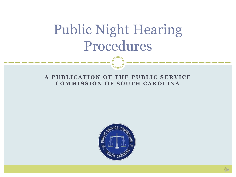#### A PUBLICATION OF THE PUBLIC SERVICE **COMMISSION OF SOUTH CAROLINA**

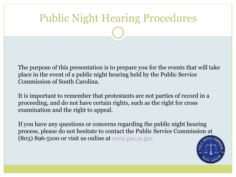The purpose of this presentation is to prepare you for the events that will take place in the event of a public night hearing held by the Public Service Commission of South Carolina.

It is important to remember that protestants are not parties of record in a proceeding, and do not have certain rights, such as the right for cross examination and the right to appeal.

If you have any questions or concerns regarding the public night hearing process, please do not hesitate to contact the Public Service Commission at  $(803)$  896-5100 or visit us online at [www.psc.sc.gov](http://www.psc.sc.gov/)

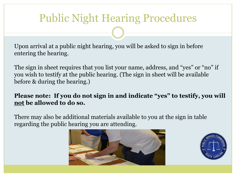Upon arrival at a public night hearing, you will be asked to sign in before entering the hearing.

The sign in sheet requires that you list your name, address, and "yes" or "no" if you wish to testify at the public hearing. (The sign in sheet will be available before & during the hearing.)

#### **Please note: If you do not sign in and indicate "yes" to testify, you will not be allowed to do so.**

There may also be additional materials available to you at the sign in table regarding the public hearing you are attending.



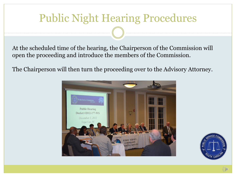At the scheduled time of the hearing, the Chairperson of the Commission will open the proceeding and introduce the members of the Commission.

The Chairperson will then turn the proceeding over to the Advisory Attorney.



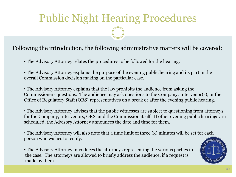Following the introduction, the following administrative matters will be covered:

- The Advisory Attorney relates the procedures to be followed for the hearing.
- The Advisory Attorney explains the purpose of the evening public hearing and its part in the overall Commission decision making on the particular case.

• The Advisory Attorney explains that the law prohibits the audience from asking the Commissioners questions. The audience may ask questions to the Company, Intervenor(s), or the Office of Regulatory Staff (ORS) representatives on a break or after the evening public hearing.

• The Advisory Attorney advises that the public witnesses are subject to questioning from attorneys for the Company, Intervenors, ORS, and the Commission itself. If other evening public hearings are scheduled, the Advisory Attorney announces the date and time for them.

• The Advisory Attorney will also note that a time limit of three (3) minutes will be set for each person who wishes to testify.

• The Advisory Attorney introduces the attorneys representing the various parties in the case. The attorneys are allowed to briefly address the audience, if a request is made by them.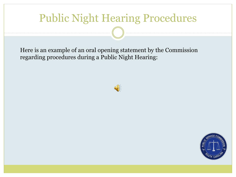Here is an example of an oral opening statement by the Commission regarding procedures during a Public Night Hearing:



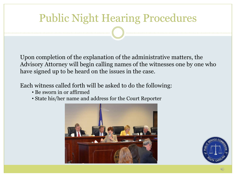Upon completion of the explanation of the administrative matters, the Advisory Attorney will begin calling names of the witnesses one by one who have signed up to be heard on the issues in the case.

Each witness called forth will be asked to do the following:

- Be sworn in or affirmed
- State his/her name and address for the Court Reporter



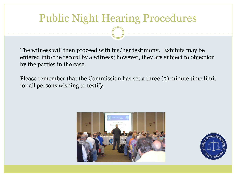The witness will then proceed with his/her testimony. Exhibits may be entered into the record by a witness; however, they are subject to objection by the parties in the case.

Please remember that the Commission has set a three (3) minute time limit for all persons wishing to testify.



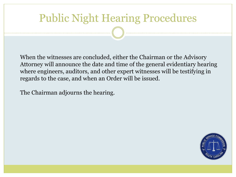When the witnesses are concluded, either the Chairman or the Advisory Attorney will announce the date and time of the general evidentiary hearing where engineers, auditors, and other expert witnesses will be testifying in regards to the case, and when an Order will be issued.

The Chairman adjourns the hearing.